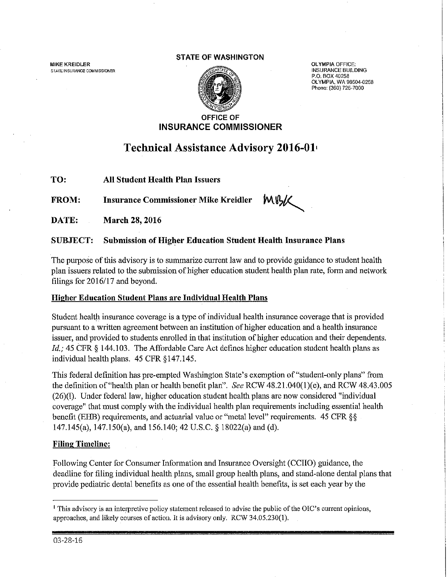**MIKE KREIDLER STATE INSURANCE COMMISSIONER** 

#### **STATE OF WASHINGTON**



OLYMPIA OFFICE: **INSURANCE BUILDING P.O. BOX 40258 OLYMPIA, WA 98504-0258 Phone: (360) 725-7000** 

## **OFFICE OF INSURANCE COMMISSIONER**

# **Technical Assistance Advisory 2016-01•**

**TO:** All Student Health Plan Issuers

MBK **FROM: Insurance Commissioner Mike Kreidler** 

**DATE: March 28, 2016** 

## **SUBJECT: Submission of Higher Education Student Health Insurance Plans**

The pwpose of this advisory is to summarize current law and to provide guidance to student health plan issuers related to the submission of higher education student health plan rate, form and network filings for 2016/17 and beyond.

## **Higher Education Student Plans are Individual Health Plans**

Student health insurance coverage is a type of individual health insurance coverage that is provided pursuant to a written agreement between an institution of higher education and a health insurance issuer, and provided to students enrolled in that institution of higher education and their dependents. *Id.;* 45 CFR § 144.103. The Affordable Care Act defines higher education student health plans as individual health plans. 45 CFR §147.145.

This federal definition has pre-empted Washington State's exemption of"student-only plans" from the definition of"health plan or health benefit plan". *See* RCW 48.21.040(1)(e), and RCW 48.43.005 (26)(1). Under federal law, higher education student health plans are now considered "individual coverage" that must comply with the individual health plan requirements including essential health benefit (EHB) requirements, and actuarial value or "metal level" requirements. 45 CFR §§ 147.145(a), 147.150(a), and 156.140; 42 U.S.C. § 18022(a) and (d).

## **Filing Timeline:**

Following Center for Consumer Information and Insurance Oversight (CCIIO) guidance, the deadline for filing individual health plans, small group health plans, and stand-alone dental plans that provide pediatric dental benefits as one of the essential health benefits, is set each year by the

<sup>1</sup>This advisory is an interpretive policy statement released to advise the public of the OIC's current opinions, approaches, and likely courses of action. It is advisory only. RCW 34.05.230(1).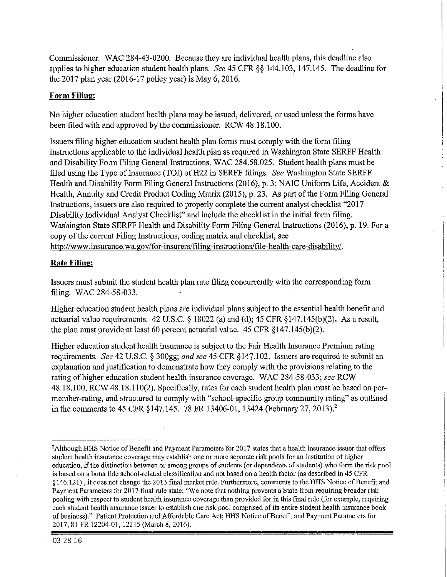Commissioner. WAC 284-43-0200. Because they are individual health plans, this deadline also applies to higher education student health plans. *See* 45 CFR §§ 144.103, 147.145. The deadline for the 2017 plan year (2016-17 policy year) is May 6, 2016.

#### **Form Filing:**

No higher education student health plans may be issued, delivered, or used unless the forms have been filed with and approved by the commissioner. RCW 48.18.100.

Issuers filing higher education student health plan forms must comply with the form filing instructions applicable to the individual health plan as required in Washington State SERFF Health and Disability Form Filing General Instructions. WAC 284.58.025. Student health plans must be filed using the Type of Insurance (TOI) of H22 in SERFF filings. *See* Washington State SERFF Health and Disability Form Filing General Instructions (2016), p. 3; NAIC Uniform Life, Accident & Health, Annuity and Credit Product Coding Matrix (2015), p. 23. As part of the Form Filing General Instructions, issuers are also required to properly complete the current analyst checklist "2017 Disability Individual Analyst Checklist" and include the checklist in the initial form filing. Washington State SERFF Health and Disability Form Filing General Instructions (2016), p. 19. For a copy of the current Filing Instructions, coding matrix and checklist, see http://www.insurance.wa.gov/for-insurers/filing-instructions/file-health-care-disability/.

#### **Rate Filing:**

Issuers must submit the student health plan rate filing concurrently with the corresponding form filing. WAC 284-58-033.

Higher education student health plans are individual plans subject to the essential health benefit and actuarial value requirements. 42 U.S.C. § 18022 (a) and (d); 45 CFR §147.145(b)(2). As a result, the plan must provide at least 60 percent actuarial value.  $45 \text{ CFR} \& 147.145(b)(2)$ .

Higher education student health insurance is subject to the Faif Health Insurance Premium rating requirements. *See* 42 U.S.C. § 300gg; *and see* 45 CFR §147.102. Issuers are required to submit an explanation and justification to demonstrate how they comply with the provisions relating to the rating of higher education student health insurance coverage. WAC 284-58-033; *see* RCW 48.18.100, RCW 48.18.110(2). Specifically, rates for each student health plan must be based on permember-rating, and structured to comply with "school-specific group community rating" as outlined in the comments to 45 CFR §147.145. 78 FR 13406-01, 13424 (February 27, 2013).<sup>2</sup>

03-28-16

<sup>&</sup>lt;sup>2</sup> Although HHS Notice of Benefit and Payment Parameters for 2017 states that a health insurance issuer that offers student health insurance coverage may establish one or more separate risk pools for an institution of higher education, if the distinction between or among groups of students (or dependents of students) who form the risk pool is based on a bona fide school-related classification and not based on a health factor (as described in 45 CFR § 146.121) , it does not change the 2013 final market rule. Furthermore, comments to the HHS Notice of Benefit and Payment Parameters for 2017 final rule state; "We note that nothing prevents a State from requiring broader risk pooling with respect to student health insurance coverage than provided for in this final rule (for example, requiring each student health insurance issuer to establish one risk pool comprised of its entire student health insurance book of business)." Patient Protection and Affordable Care Act; HHS Notice of Benefit and Payment Parameters for 2017, 81FR12204-01, 12215 (March 8, 2016).